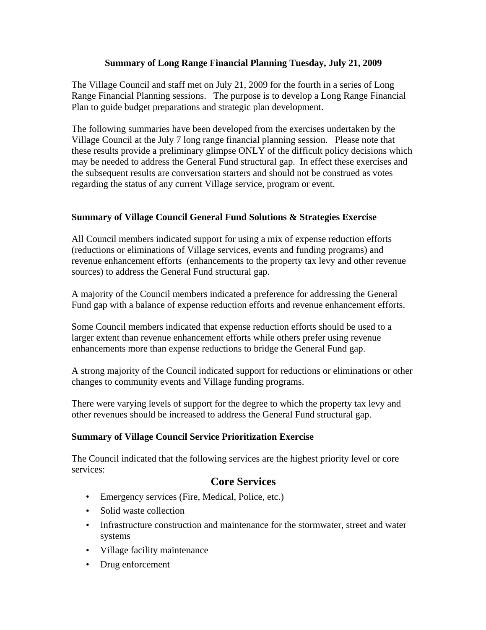#### **Summary of Long Range Financial Planning Tuesday, July 21, 2009**

The Village Council and staff met on July 21, 2009 for the fourth in a series of Long Range Financial Planning sessions. The purpose is to develop a Long Range Financial Plan to guide budget preparations and strategic plan development.

The following summaries have been developed from the exercises undertaken by the Village Council at the July 7 long range financial planning session. Please note that these results provide a preliminary glimpse ONLY of the difficult policy decisions which may be needed to address the General Fund structural gap. In effect these exercises and the subsequent results are conversation starters and should not be construed as votes regarding the status of any current Village service, program or event.

### **Summary of Village Council General Fund Solutions & Strategies Exercise**

All Council members indicated support for using a mix of expense reduction efforts (reductions or eliminations of Village services, events and funding programs) and revenue enhancement efforts (enhancements to the property tax levy and other revenue sources) to address the General Fund structural gap.

A majority of the Council members indicated a preference for addressing the General Fund gap with a balance of expense reduction efforts and revenue enhancement efforts.

Some Council members indicated that expense reduction efforts should be used to a larger extent than revenue enhancement efforts while others prefer using revenue enhancements more than expense reductions to bridge the General Fund gap.

A strong majority of the Council indicated support for reductions or eliminations or other changes to community events and Village funding programs.

There were varying levels of support for the degree to which the property tax levy and other revenues should be increased to address the General Fund structural gap.

### **Summary of Village Council Service Prioritization Exercise**

The Council indicated that the following services are the highest priority level or core services:

### **Core Services**

- Emergency services (Fire, Medical, Police, etc.)
- Solid waste collection
- Infrastructure construction and maintenance for the stormwater, street and water systems **systems**
- Village facility maintenance
- Drug enforcement